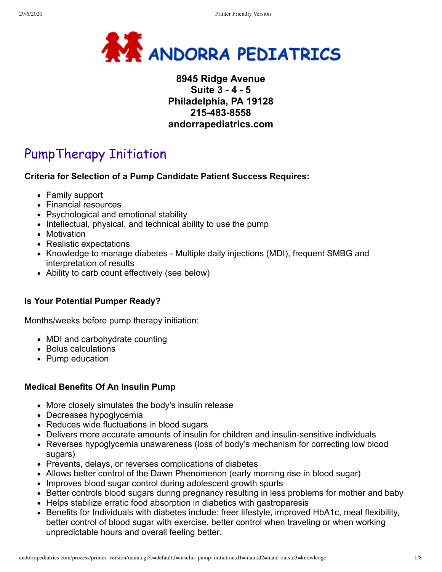

# **8945 Ridge Avenue Suite 3 - 4 - 5 Philadelphia, PA 19128 215-483-8558 andorrapediatrics.com**

# PumpTherapy Initiation

## **Criteria for Selection of a Pump Candidate Patient Success Requires:**

- Family support
- Financial resources
- Psychological and emotional stability
- Intellectual, physical, and technical ability to use the pump
- Motivation
- Realistic expectations
- Knowledge to manage diabetes Multiple daily injections (MDI), frequent SMBG and interpretation of results
- Ability to carb count effectively (see below)

## **Is Your Potential Pumper Ready?**

Months/weeks before pump therapy initiation:

- MDI and carbohydrate counting
- Bolus calculations
- Pump education

## **Medical Benefits Of An Insulin Pump**

- More closely simulates the body's insulin release
- Decreases hypoglycemia
- Reduces wide fluctuations in blood sugars
- Delivers more accurate amounts of insulin for children and insulin-sensitive individuals
- Reverses hypoglycemia unawareness (loss of body's mechanism for correcting low blood sugars)
- Prevents, delays, or reverses complications of diabetes
- Allows better control of the Dawn Phenomenon (early morning rise in blood sugar)
- Improves blood sugar control during adolescent growth spurts
- Better controls blood sugars during pregnancy resulting in less problems for mother and baby
- Helps stabilize erratic food absorption in diabetics with gastroparesis
- Benefits for Individuals with diabetes include: freer lifestyle, improved HbA1c, meal flexibility, better control of blood sugar with exercise, better control when traveling or when working unpredictable hours and overall feeling better.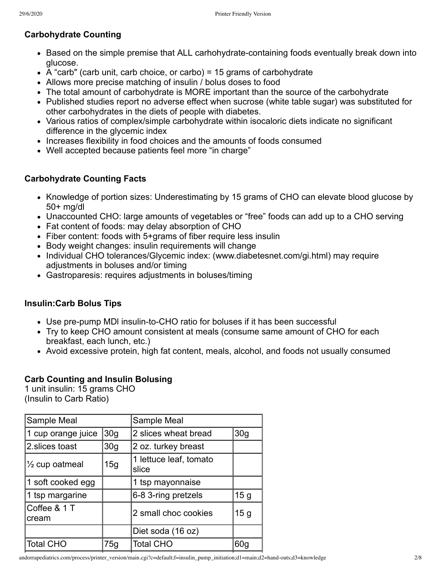# **Carbohydrate Counting**

- Based on the simple premise that ALL carhohydrate-containing foods eventually break down into glucose.
- $\bullet$  A "carb" (carb unit, carb choice, or carbo) = 15 grams of carbohydrate
- Allows more precise matching of insulin / bolus doses to food
- The total amount of carbohydrate is MORE important than the source of the carbohydrate
- Published studies report no adverse effect when sucrose (white table sugar) was substituted for other carbohydrates in the diets of people with diabetes.
- Various ratios of complex/simple carbohydrate within isocaloric diets indicate no significant difference in the glycemic index
- Increases flexibility in food choices and the amounts of foods consumed
- Well accepted because patients feel more "in charge"

## **Carbohydrate Counting Facts**

- Knowledge of portion sizes: Underestimating by 15 grams of CHO can elevate blood glucose by 50+ mg/dl
- Unaccounted CHO: large amounts of vegetables or "free" foods can add up to a CHO serving
- Fat content of foods: may delay absorption of CHO
- Fiber content: foods with 5+grams of fiber require less insulin
- Body weight changes: insulin requirements will change
- Individual CHO tolerances/Glycemic index: (www.diabetesnet.com/gi.html) may require adjustments in boluses and/or timing
- Gastroparesis: requires adjustments in boluses/timing

## **Insulin:Carb Bolus Tips**

- Use pre-pump MDl insulin-to-CHO ratio for boluses if it has been successful
- Try to keep CHO amount consistent at meals (consume same amount of CHO for each breakfast, each lunch, etc.)
- Avoid excessive protein, high fat content, meals, alcohol, and foods not usually consumed

## **Carb Counting and Insulin Bolusing**

1 unit insulin: 15 grams CHO (Insulin to Carb Ratio)

| Sample Meal               |                 | Sample Meal                     |                 |  |
|---------------------------|-----------------|---------------------------------|-----------------|--|
| 1 cup orange juice        | 30 <sub>g</sub> | 2 slices wheat bread            | 30 <sub>g</sub> |  |
| 2.slices toast            | 30 <sub>q</sub> | 2 oz. turkey breast             |                 |  |
| $\frac{1}{2}$ cup oatmeal | 15g             | 1 lettuce leaf, tomato<br>slice |                 |  |
| 1 soft cooked egg         |                 | 1 tsp mayonnaise                |                 |  |
| 1 tsp margarine           |                 | 6-8 3-ring pretzels             | 15 <sub>g</sub> |  |
| Coffee & 1 T<br>cream     |                 | 2 small choc cookies            | 15 <sub>g</sub> |  |
|                           |                 | Diet soda (16 oz)               |                 |  |
| <b>Total CHO</b>          | 75g             | <b>Total CHO</b>                | 60 <sub>g</sub> |  |
|                           |                 |                                 |                 |  |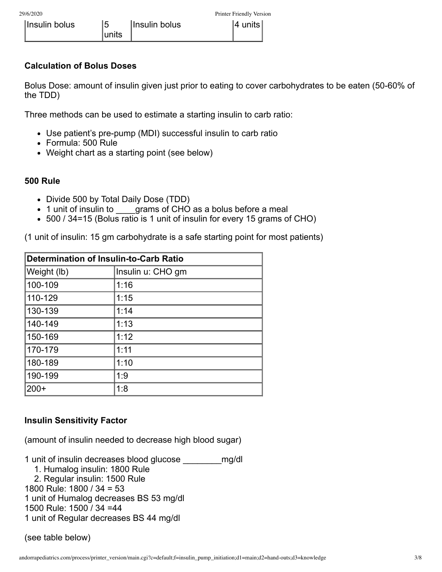## **Calculation of Bolus Doses**

Bolus Dose: amount of insulin given just prior to eating to cover carbohydrates to be eaten (50-60% of the TDD)

Three methods can be used to estimate a starting insulin to carb ratio:

- Use patient's pre-pump (MDI) successful insulin to carb ratio
- Formula: 500 Rule
- Weight chart as a starting point (see below)

#### **500 Rule**

- Divide 500 by Total Daily Dose (TDD)
- 1 unit of insulin to grams of CHO as a bolus before a meal
- 500 / 34=15 (Bolus ratio is 1 unit of insulin for every 15 grams of CHO)

(1 unit of insulin: 15 gm carbohydrate is a safe starting point for most patients)

| <b>Determination of Insulin-to-Carb Ratio</b> |                   |  |  |
|-----------------------------------------------|-------------------|--|--|
| Weight (lb)                                   | Insulin u: CHO gm |  |  |
| 100-109                                       | 1:16              |  |  |
| 110-129                                       | 1:15              |  |  |
| 130-139                                       | 1:14              |  |  |
| 140-149                                       | 1:13              |  |  |
| 150-169                                       | 1:12              |  |  |
| 170-179                                       | 1:11              |  |  |
| 180-189                                       | 1:10              |  |  |
| 190-199                                       | 1:9               |  |  |
| $200+$                                        | 1:8               |  |  |

## **Insulin Sensitivity Factor**

(amount of insulin needed to decrease high blood sugar)

1 unit of insulin decreases blood glucose \_\_\_\_\_\_\_\_mg/dl

- 1. Humalog insulin: 1800 Rule
- 2. Regular insulin: 1500 Rule

1800 Rule: 1800 / 34 = 53

1 unit of Humalog decreases BS 53 mg/dl

1500 Rule: 1500 / 34 =44

1 unit of Regular decreases BS 44 mg/dl

(see table below)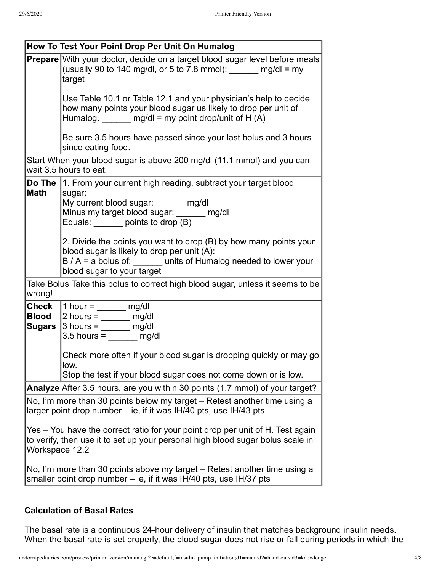| How To Test Your Point Drop Per Unit On Humalog                                                                                                                                    |                                                                                                                                                                                                                           |  |  |  |
|------------------------------------------------------------------------------------------------------------------------------------------------------------------------------------|---------------------------------------------------------------------------------------------------------------------------------------------------------------------------------------------------------------------------|--|--|--|
|                                                                                                                                                                                    | <b>Prepare</b> With your doctor, decide on a target blood sugar level before meals<br>(usually 90 to 140 mg/dl, or 5 to 7.8 mmol): $\frac{m}{m}$ mg/dl = my<br>target                                                     |  |  |  |
|                                                                                                                                                                                    | Use Table 10.1 or Table 12.1 and your physician's help to decide<br>how many points your blood sugar us likely to drop per unit of<br>Humalog. $\qquad \qquad$ mg/dl = my point drop/unit of H (A)                        |  |  |  |
|                                                                                                                                                                                    | Be sure 3.5 hours have passed since your last bolus and 3 hours<br>since eating food.                                                                                                                                     |  |  |  |
|                                                                                                                                                                                    | Start When your blood sugar is above 200 mg/dl (11.1 mmol) and you can<br>wait 3.5 hours to eat.                                                                                                                          |  |  |  |
| <b>Math</b>                                                                                                                                                                        | <b>Do The 1.</b> From your current high reading, subtract your target blood<br>sugar:<br>My current blood sugar: ______ mg/dl<br>Minus my target blood sugar: ______ mg/dl<br>Equals: _______ points to drop (B)          |  |  |  |
|                                                                                                                                                                                    | 2. Divide the points you want to drop (B) by how many points your<br>blood sugar is likely to drop per unit (A):<br>$B / A = a$ bolus of: $\_\_\_\_\$ units of Humalog needed to lower your<br>blood sugar to your target |  |  |  |
| wrong!                                                                                                                                                                             | Take Bolus Take this bolus to correct high blood sugar, unless it seems to be                                                                                                                                             |  |  |  |
| Check<br><b>Blood</b><br>Sugars                                                                                                                                                    | 1 hour = $\frac{m}{2}$ mg/dl<br>2 hours = $\frac{1}{\sqrt{2}}$ mg/dl<br>$3 hours = \underline{\qquad}$ mg/dl<br>$3.5$ hours = ________ mg/dl                                                                              |  |  |  |
|                                                                                                                                                                                    | Check more often if your blood sugar is dropping quickly or may go<br>low.<br>Stop the test if your blood sugar does not come down or is low.                                                                             |  |  |  |
| Analyze After 3.5 hours, are you within 30 points (1.7 mmol) of your target?                                                                                                       |                                                                                                                                                                                                                           |  |  |  |
| No, I'm more than 30 points below my target – Retest another time using a<br>larger point drop number $-$ ie, if it was $IH/40$ pts, use $IH/43$ pts                               |                                                                                                                                                                                                                           |  |  |  |
| Yes – You have the correct ratio for your point drop per unit of H. Test again<br>to verify, then use it to set up your personal high blood sugar bolus scale in<br>Workspace 12.2 |                                                                                                                                                                                                                           |  |  |  |
| No, I'm more than 30 points above my target – Retest another time using a<br>smaller point drop number – ie, if it was IH/40 pts, use IH/37 pts                                    |                                                                                                                                                                                                                           |  |  |  |

## **Calculation of Basal Rates**

The basal rate is a continuous 24-hour delivery of insulin that matches background insulin needs. When the basal rate is set properly, the blood sugar does not rise or fall during periods in which the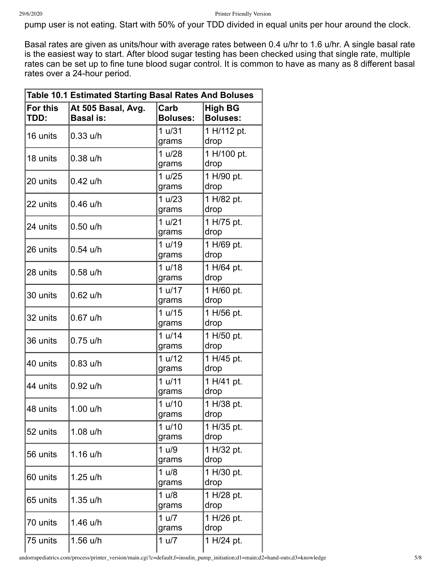pump user is not eating. Start with 50% of your TDD divided in equal units per hour around the clock.

Basal rates are given as units/hour with average rates between 0.4 u/hr to 1.6 u/hr. A single basal rate is the easiest way to start. After blood sugar testing has been checked using that single rate, multiple rates can be set up to fine tune blood sugar control. It is common to have as many as 8 different basal rates over a 24-hour period.

| <b>Table 10.1 Estimated Starting Basal Rates And Boluses</b> |                                        |                         |                                   |  |
|--------------------------------------------------------------|----------------------------------------|-------------------------|-----------------------------------|--|
| <b>For this</b><br>TDD:                                      | At 505 Basal, Avg.<br><b>Basal is:</b> | Carb<br><b>Boluses:</b> | <b>High BG</b><br><b>Boluses:</b> |  |
| 16 units                                                     | $0.33$ u/h                             | 1 u/31<br>grams         | 1 H/112 pt.<br>drop               |  |
| 18 units                                                     | $0.38$ u/h                             | 1 u/28<br>grams         | 1 H/100 pt.<br>drop               |  |
| 20 units                                                     | 0.42 u/h                               | 1 u/25<br>grams         | 1 H/90 pt.<br>drop                |  |
| 22 units                                                     | $0.46$ u/h                             | 1 u/23<br>grams         | 1 H/82 pt.<br>drop                |  |
| 24 units                                                     | $0.50$ u/h                             | 1 u/21<br>grams         | 1 H/75 pt.<br>drop                |  |
| 26 units                                                     | $0.54$ u/h                             | 1 u/19<br>grams         | 1 H/69 pt.<br>drop                |  |
| 28 units                                                     | $0.58$ u/h                             | 1 u/18<br>grams         | 1 H/64 pt.<br>drop                |  |
| 30 units                                                     | 0.62 u/h                               | 1 u/17<br>grams         | 1 H/60 pt.<br>drop                |  |
| 32 units                                                     | 0.67 u/h                               | 1 u/15<br>grams         | 1 H/56 pt.<br>drop                |  |
| 36 units                                                     | $0.75$ u/h                             | 1 u/14<br>grams         | 1 H/50 pt.<br>drop                |  |
| 40 units                                                     | $0.83$ u/h                             | 1 u/12<br>grams         | 1 H/45 pt.<br>drop                |  |
| 44 units                                                     | $0.92$ u/h                             | 1 u/11<br>grams         | 1 H/41 pt.<br>drop                |  |
| 48 units                                                     | 1.00 u/h                               | 1 u/10<br>grams         | 1 H/38 pt.<br>drop                |  |
| 52 units                                                     | $1.08$ u/h                             | 1 u/10<br>grams         | 1 H/35 pt.<br>drop                |  |
| 56 units                                                     | $1.16$ u/h                             | 1 u/9<br>grams          | 1 H/32 pt.<br>drop                |  |
| 60 units                                                     | 1.25 u/h                               | 1 u/8<br>grams          | 1 H/30 pt.<br>drop                |  |
| 65 units                                                     | 1.35 u/h                               | 1 u/8<br>grams          | 1 H/28 pt.<br>drop                |  |
| 70 units                                                     | 1.46 u/h                               | 1 u/7<br>grams          | 1 H/26 pt.<br>drop                |  |
| 75 units                                                     | 1.56 u/h                               | 1 u/7                   | 1 H/24 pt.                        |  |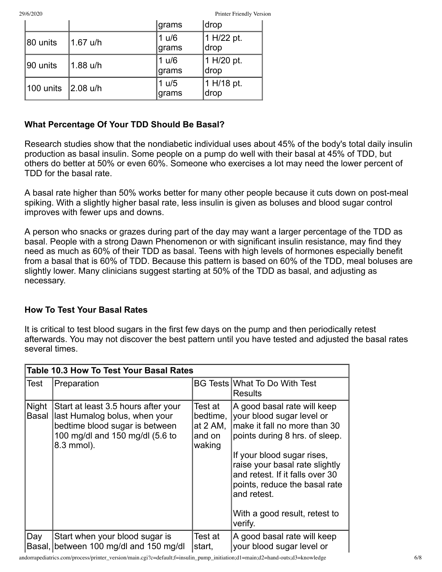29/6/2020 Printer Friendly Version

|           |            | grams           | drop               |
|-----------|------------|-----------------|--------------------|
| 80 units  | $1.67$ u/h | 1 u/6<br>∣grams | 1 H/22 pt.<br>drop |
| 90 units  | $1.88$ u/h | 1 u/6<br>∣grams | 1 H/20 pt.<br>drop |
| 100 units | 2.08 u/h   | 1 u/5<br> grams | 1 H/18 pt.<br>drop |

## **What Percentage Of Your TDD Should Be Basal?**

Research studies show that the nondiabetic individual uses about 45% of the body's total daily insulin production as basal insulin. Some people on a pump do well with their basal at 45% of TDD, but others do better at 50% or even 60%. Someone who exercises a lot may need the lower percent of TDD for the basal rate.

A basal rate higher than 50% works better for many other people because it cuts down on post-meal spiking. With a slightly higher basal rate, less insulin is given as boluses and blood sugar control improves with fewer ups and downs.

A person who snacks or grazes during part of the day may want a larger percentage of the TDD as basal. People with a strong Dawn Phenomenon or with significant insulin resistance, may find they need as much as 60% of their TDD as basal. Teens with high levels of hormones especially benefit from a basal that is 60% of TDD. Because this pattern is based on 60% of the TDD, meal boluses are slightly lower. Many clinicians suggest starting at 50% of the TDD as basal, and adjusting as necessary.

#### **How To Test Your Basal Rates**

It is critical to test blood sugars in the first few days on the pump and then periodically retest afterwards. You may not discover the best pattern until you have tested and adjusted the basal rates several times.

|                              | <b>Table 10.3 How To Test Your Basal Rates</b>                                                                                                          |                                                                |                                                                                                                                                                                                                                                                                                                           |  |  |
|------------------------------|---------------------------------------------------------------------------------------------------------------------------------------------------------|----------------------------------------------------------------|---------------------------------------------------------------------------------------------------------------------------------------------------------------------------------------------------------------------------------------------------------------------------------------------------------------------------|--|--|
| Test                         | Preparation                                                                                                                                             |                                                                | <b>BG Tests What To Do With Test</b><br><b>Results</b>                                                                                                                                                                                                                                                                    |  |  |
| <b>Night</b><br><b>Basal</b> | Start at least 3.5 hours after your<br>last Humalog bolus, when your<br>bedtime blood sugar is between<br>100 mg/dl and 150 mg/dl (5.6 to<br>8.3 mmol). | Test at<br>bedtime,<br>at $2 \text{ AM}$ ,<br>and on<br>waking | A good basal rate will keep<br>your blood sugar level or<br>make it fall no more than 30<br>points during 8 hrs. of sleep.<br>If your blood sugar rises,<br>raise your basal rate slightly<br>and retest. If it falls over 30<br>points, reduce the basal rate<br>and retest.<br>With a good result, retest to<br>verify. |  |  |
| Day<br>Basal,                | Start when your blood sugar is<br>between 100 mg/dl and 150 mg/dl                                                                                       | Test at<br>start,                                              | A good basal rate will keep<br>your blood sugar level or                                                                                                                                                                                                                                                                  |  |  |

andorrapediatrics.com/process/printer\_version/main.cgi?c=default;f=insulin\_pump\_initiation;d1=main;d2=hand-outs;d3=knowledge 6/8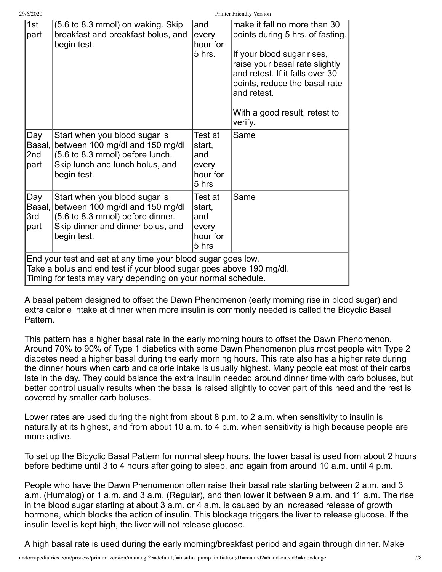| 29/6/2020 |  |  |
|-----------|--|--|
|           |  |  |

Printer Friendly Version

| 1st<br>part                                                                                                                                                                                         | (5.6 to 8.3 mmol) on waking. Skip<br>breakfast and breakfast bolus, and<br>begin test.                                                                   | and<br>every<br>hour for<br>5 hrs.                     | make it fall no more than 30<br>points during 5 hrs. of fasting.<br>If your blood sugar rises,<br>raise your basal rate slightly<br>and retest. If it falls over 30<br>points, reduce the basal rate<br>and retest.<br>With a good result, retest to<br>verify. |
|-----------------------------------------------------------------------------------------------------------------------------------------------------------------------------------------------------|----------------------------------------------------------------------------------------------------------------------------------------------------------|--------------------------------------------------------|-----------------------------------------------------------------------------------------------------------------------------------------------------------------------------------------------------------------------------------------------------------------|
| Day<br>Basal,<br>2nd<br>part                                                                                                                                                                        | Start when you blood sugar is<br>between 100 mg/dl and 150 mg/dl<br>(5.6 to 8.3 mmol) before lunch.<br>Skip lunch and lunch bolus, and<br>begin test.    | Test at<br>start,<br>and<br>every<br>hour for<br>5 hrs | Same                                                                                                                                                                                                                                                            |
| Day<br>Basal,<br>3rd<br>part                                                                                                                                                                        | Start when you blood sugar is<br>between 100 mg/dl and 150 mg/dl<br>(5.6 to 8.3 mmol) before dinner.<br>Skip dinner and dinner bolus, and<br>begin test. | Test at<br>start,<br>and<br>every<br>hour for<br>5 hrs | Same                                                                                                                                                                                                                                                            |
| End your test and eat at any time your blood sugar goes low.<br>Take a bolus and end test if your blood sugar goes above 190 mg/dl.<br>Timing for tests may vary depending on your normal schedule. |                                                                                                                                                          |                                                        |                                                                                                                                                                                                                                                                 |

A basal pattern designed to offset the Dawn Phenomenon (early morning rise in blood sugar) and extra calorie intake at dinner when more insulin is commonly needed is called the Bicyclic Basal Pattern.

This pattern has a higher basal rate in the early morning hours to offset the Dawn Phenomenon. Around 70% to 90% of Type 1 diabetics with some Dawn Phenomenon plus most people with Type 2 diabetes need a higher basal during the early morning hours. This rate also has a higher rate during the dinner hours when carb and calorie intake is usually highest. Many people eat most of their carbs late in the day. They could balance the extra insulin needed around dinner time with carb boluses, but better control usually results when the basal is raised slightly to cover part of this need and the rest is covered by smaller carb boluses.

Lower rates are used during the night from about 8 p.m. to 2 a.m. when sensitivity to insulin is naturally at its highest, and from about 10 a.m. to 4 p.m. when sensitivity is high because people are more active.

To set up the Bicyclic Basal Pattern for normal sleep hours, the lower basal is used from about 2 hours before bedtime until 3 to 4 hours after going to sleep, and again from around 10 a.m. until 4 p.m.

People who have the Dawn Phenomenon often raise their basal rate starting between 2 a.m. and 3 a.m. (Humalog) or 1 a.m. and 3 a.m. (Regular), and then lower it between 9 a.m. and 11 a.m. The rise in the blood sugar starting at about 3 a.m. or 4 a.m. is caused by an increased release of growth hormone, which blocks the action of insulin. This blockage triggers the liver to release glucose. If the insulin level is kept high, the liver will not release glucose.

A high basal rate is used during the early morning/breakfast period and again through dinner. Make